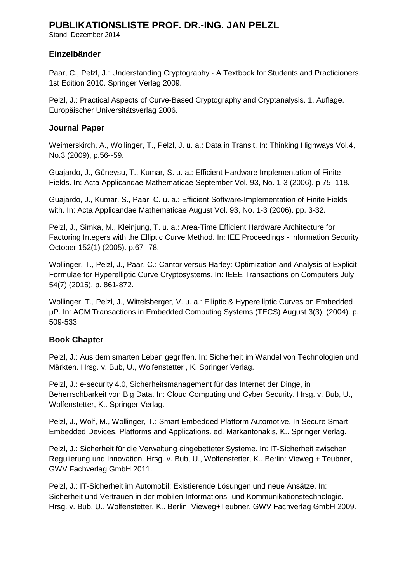Stand: Dezember 2014

### **Einzelbänder**

Paar, C., Pelzl, J.: Understanding Cryptography ‐ A Textbook for Students and Practicioners. 1st Edition 2010. Springer Verlag 2009.

Pelzl, J.: Practical Aspects of Curve‐Based Cryptography and Cryptanalysis. 1. Auflage. Europäischer Universitätsverlag 2006.

#### **Journal Paper**

Weimerskirch, A., Wollinger, T., Pelzl, J. u. a.: Data in Transit. In: Thinking Highways Vol.4, No.3 (2009), p.56‐‐59.

Guajardo, J., Güneysu, T., Kumar, S. u. a.: Efficient Hardware Implementation of Finite Fields. In: Acta Applicandae Mathematicae September Vol. 93, No. 1-3 (2006). p 75–118.

Guajardo, J., Kumar, S., Paar, C. u. a.: Efficient Software‐Implementation of Finite Fields with. In: Acta Applicandae Mathematicae August Vol. 93, No. 1‐3 (2006). pp. 3‐32.

Pelzl, J., Simka, M., Kleinjung, T. u. a.: Area‐Time Efficient Hardware Architecture for Factoring Integers with the Elliptic Curve Method. In: IEE Proceedings - Information Security October 152(1) (2005). p.67‐‐78.

Wollinger, T., Pelzl, J., Paar, C.: Cantor versus Harley: Optimization and Analysis of Explicit Formulae for Hyperelliptic Curve Cryptosystems. In: IEEE Transactions on Computers July 54(7) (2015). p. 861‐872.

Wollinger, T., Pelzl, J., Wittelsberger, V. u. a.: Elliptic & Hyperelliptic Curves on Embedded μP. In: ACM Transactions in Embedded Computing Systems (TECS) August 3(3), (2004). p. 509‐533.

### **Book Chapter**

Pelzl, J.: Aus dem smarten Leben gegriffen. In: Sicherheit im Wandel von Technologien und Märkten. Hrsg. v. Bub, U., Wolfenstetter , K. Springer Verlag.

Pelzl, J.: e‐security 4.0, Sicherheitsmanagement für das Internet der Dinge, in Beherrschbarkeit von Big Data. In: Cloud Computing und Cyber Security. Hrsg. v. Bub, U., Wolfenstetter, K.. Springer Verlag.

Pelzl, J., Wolf, M., Wollinger, T.: Smart Embedded Platform Automotive. In Secure Smart Embedded Devices, Platforms and Applications. ed. Markantonakis, K.. Springer Verlag.

Pelzl, J.: Sicherheit für die Verwaltung eingebetteter Systeme. In: IT‐Sicherheit zwischen Regulierung und Innovation. Hrsg. v. Bub, U., Wolfenstetter, K.. Berlin: Vieweg + Teubner, GWV Fachverlag GmbH 2011.

Pelzl, J.: IT‐Sicherheit im Automobil: Existierende Lösungen und neue Ansätze. In: Sicherheit und Vertrauen in der mobilen Informations‐ und Kommunikationstechnologie. Hrsg. v. Bub, U., Wolfenstetter, K.. Berlin: Vieweg+Teubner, GWV Fachverlag GmbH 2009.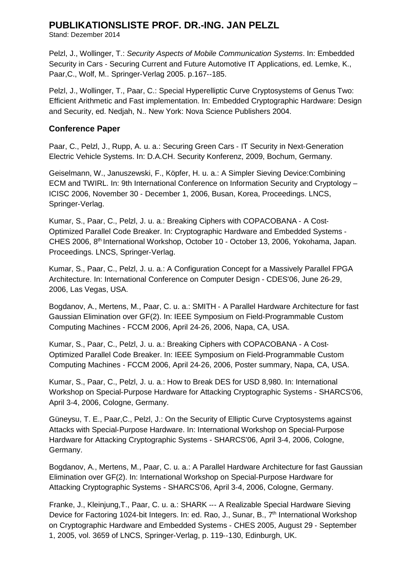Stand: Dezember 2014

Pelzl, J., Wollinger, T.: *Security Aspects of Mobile Communication Systems*. In: Embedded Security in Cars ‐ Securing Current and Future Automotive IT Applications, ed. Lemke, K., Paar,C., Wolf, M.. Springer‐Verlag 2005. p.167‐‐185.

Pelzl, J., Wollinger, T., Paar, C.: Special Hyperelliptic Curve Cryptosystems of Genus Two: Efficient Arithmetic and Fast implementation. In: Embedded Cryptographic Hardware: Design and Security, ed. Nedjah, N.. New York: Nova Science Publishers 2004.

### **Conference Paper**

Paar, C., Pelzl, J., Rupp, A. u. a.: Securing Green Cars ‐ IT Security in Next‐Generation Electric Vehicle Systems. In: D.A.CH. Security Konferenz, 2009, Bochum, Germany.

Geiselmann, W., Januszewski, F., Köpfer, H. u. a.: A Simpler Sieving Device:Combining ECM and TWIRL. In: 9th International Conference on Information Security and Cryptology – ICISC 2006, November 30 ‐ December 1, 2006, Busan, Korea, Proceedings. LNCS, Springer‐Verlag.

Kumar, S., Paar, C., Pelzl, J. u. a.: Breaking Ciphers with COPACOBANA ‐ A Cost‐ Optimized Parallel Code Breaker. In: Cryptographic Hardware and Embedded Systems ‐ CHES 2006, 8th International Workshop, October 10 ‐ October 13, 2006, Yokohama, Japan. Proceedings. LNCS, Springer‐Verlag.

Kumar, S., Paar, C., Pelzl, J. u. a.: A Configuration Concept for a Massively Parallel FPGA Architecture. In: International Conference on Computer Design - CDES'06, June 26‐29, 2006, Las Vegas, USA.

Bogdanov, A., Mertens, M., Paar, C. u. a.: SMITH ‐ A Parallel Hardware Architecture for fast Gaussian Elimination over GF(2). In: IEEE Symposium on Field‐Programmable Custom Computing Machines - FCCM 2006, April 24‐26, 2006, Napa, CA, USA.

Kumar, S., Paar, C., Pelzl, J. u. a.: Breaking Ciphers with COPACOBANA ‐ A Cost‐ Optimized Parallel Code Breaker. In: IEEE Symposium on Field‐Programmable Custom Computing Machines ‐ FCCM 2006, April 24‐26, 2006, Poster summary, Napa, CA, USA.

Kumar, S., Paar, C., Pelzl, J. u. a.: How to Break DES for USD 8,980. In: International Workshop on Special-Purpose Hardware for Attacking Cryptographic Systems - SHARCS'06, April 3‐4, 2006, Cologne, Germany.

Güneysu, T. E., Paar,C., Pelzl, J.: On the Security of Elliptic Curve Cryptosystems against Attacks with Special‐Purpose Hardware. In: International Workshop on Special‐Purpose Hardware for Attacking Cryptographic Systems - SHARCS'06, April 3‐4, 2006, Cologne, Germany.

Bogdanov, A., Mertens, M., Paar, C. u. a.: A Parallel Hardware Architecture for fast Gaussian Elimination over GF(2). In: International Workshop on Special‐Purpose Hardware for Attacking Cryptographic Systems - SHARCS'06, April 3‐4, 2006, Cologne, Germany.

Franke, J., Kleinjung,T., Paar, C. u. a.: SHARK ‐‐‐ A Realizable Special Hardware Sieving Device for Factoring 1024-bit Integers. In: ed. Rao, J., Sunar, B., 7<sup>th</sup> International Workshop on Cryptographic Hardware and Embedded Systems ‐ CHES 2005, August 29 ‐ September 1, 2005, vol. 3659 of LNCS, Springer-Verlag, p. 119‐‐130, Edinburgh, UK.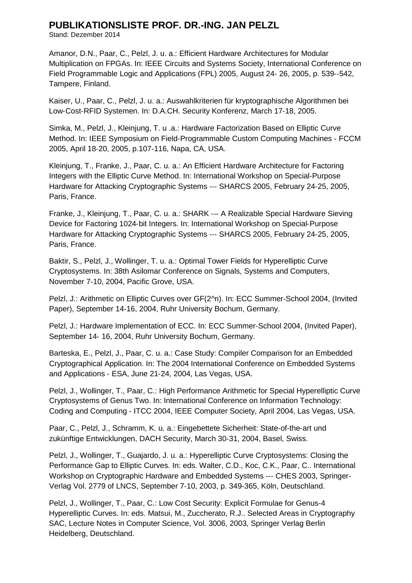Stand: Dezember 2014

Amanor, D.N., Paar, C., Pelzl, J. u. a.: Efficient Hardware Architectures for Modular Multiplication on FPGAs. In: IEEE Circuits and Systems Society, International Conference on Field Programmable Logic and Applications (FPL) 2005, August 24‐ 26, 2005, p. 539‐‐542, Tampere, Finland.

Kaiser, U., Paar, C., Pelzl, J. u. a.: Auswahlkriterien für kryptographische Algorithmen bei Low‐Cost‐RFID Systemen. In: D.A.CH. Security Konferenz, March 17‐18, 2005.

Simka, M., Pelzl, J., Kleinjung, T. u .a.: Hardware Factorization Based on Elliptic Curve Method. In: IEEE Symposium on Field‐Programmable Custom Computing Machines ‐ FCCM 2005, April 18‐20, 2005, p.107‐116, Napa, CA, USA.

Kleinjung, T., Franke, J., Paar, C. u. a.: An Efficient Hardware Architecture for Factoring Integers with the Elliptic Curve Method. In: International Workshop on Special‐Purpose Hardware for Attacking Cryptographic Systems ‐‐‐ SHARCS 2005, February 24‐25, 2005, Paris, France.

Franke, J., Kleinjung, T., Paar, C. u. a.: SHARK ‐‐‐ A Realizable Special Hardware Sieving Device for Factoring 1024‐bit Integers. In: International Workshop on Special‐Purpose Hardware for Attacking Cryptographic Systems ‐‐‐ SHARCS 2005, February 24‐25, 2005, Paris, France.

Baktir, S., Pelzl, J., Wollinger, T. u. a.: Optimal Tower Fields for Hyperelliptic Curve Cryptosystems. In: 38th Asilomar Conference on Signals, Systems and Computers, November 7‐10, 2004, Pacific Grove, USA.

Pelzl, J.: Arithmetic on Elliptic Curves over GF(2^n). In: ECC Summer‐School 2004, (Invited Paper), September 14‐16, 2004, Ruhr University Bochum, Germany.

Pelzl, J.: Hardware Implementation of ECC. In: ECC Summer‐School 2004, (Invited Paper), September 14‐ 16, 2004, Ruhr University Bochum, Germany.

Barteska, E., Pelzl, J., Paar, C. u. a.: Case Study: Compiler Comparison for an Embedded Cryptographical Application. In: The 2004 International Conference on Embedded Systems and Applications ‐ ESA, June 21‐24, 2004, Las Vegas, USA.

Pelzl, J., Wollinger, T., Paar, C.: High Performance Arithmetic for Special Hyperelliptic Curve Cryptosystems of Genus Two. In: International Conference on Information Technology: Coding and Computing ‐ ITCC 2004, IEEE Computer Society, April 2004, Las Vegas, USA.

Paar, C., Pelzl, J., Schramm, K. u. a.: Eingebettete Sicherheit: State‐of‐the‐art und zukünftige Entwicklungen, DACH Security, March 30‐31, 2004, Basel, Swiss.

Pelzl, J., Wollinger, T., Guajardo, J. u. a.: Hyperelliptic Curve Cryptosystems: Closing the Performance Gap to Elliptic Curves. In: eds. Walter, C.D., Koc, C.K., Paar, C.. International Workshop on Cryptographic Hardware and Embedded Systems ‐‐‐ CHES 2003, Springer-Verlag Vol. 2779 of LNCS, September 7‐10, 2003, p. 349-365, Köln, Deutschland.

Pelzl, J., Wollinger, T., Paar, C.: Low Cost Security: Explicit Formulae for Genus-4 Hyperelliptic Curves. In: eds. Matsui, M., Zuccherato, R.J.. Selected Areas in Cryptography SAC, Lecture Notes in Computer Science, Vol. 3006, 2003, Springer Verlag Berlin Heidelberg, Deutschland.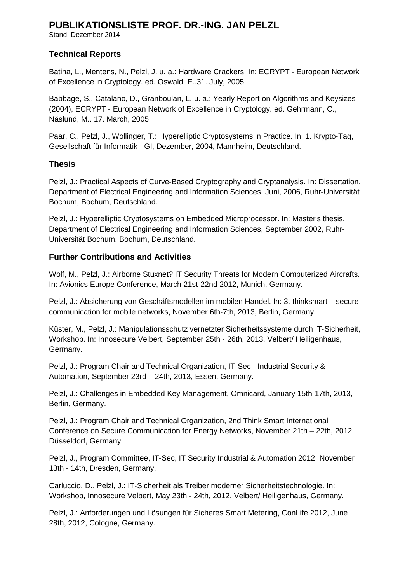Stand: Dezember 2014

### **Technical Reports**

Batina, L., Mentens, N., Pelzl, J. u. a.: Hardware Crackers. In: ECRYPT ‐ European Network of Excellence in Cryptology. ed. Oswald, E..31. July, 2005.

Babbage, S., Catalano, D., Granboulan, L. u. a.: Yearly Report on Algorithms and Keysizes (2004), ECRYPT ‐ European Network of Excellence in Cryptology. ed. Gehrmann, C., Näslund, M.. 17. March, 2005.

Paar, C., Pelzl, J., Wollinger, T.: Hyperelliptic Cryptosystems in Practice. In: 1. Krypto‐Tag, Gesellschaft für Informatik ‐ GI, Dezember, 2004, Mannheim, Deutschland.

### **Thesis**

Pelzl, J.: Practical Aspects of Curve‐Based Cryptography and Cryptanalysis. In: Dissertation, Department of Electrical Engineering and Information Sciences, Juni, 2006, Ruhr‐Universität Bochum, Bochum, Deutschland.

Pelzl, J.: Hyperelliptic Cryptosystems on Embedded Microprocessor. In: Master's thesis, Department of Electrical Engineering and Information Sciences, September 2002, Ruhr‐ Universität Bochum, Bochum, Deutschland.

### **Further Contributions and Activities**

Wolf, M., Pelzl, J.: Airborne Stuxnet? IT Security Threats for Modern Computerized Aircrafts. In: Avionics Europe Conference, March 21st‐22nd 2012, Munich, Germany.

Pelzl, J.: Absicherung von Geschäftsmodellen im mobilen Handel. In: 3. thinksmart – secure communication for mobile networks, November 6th‐7th, 2013, Berlin, Germany.

Küster, M., Pelzl, J.: Manipulationsschutz vernetzter Sicherheitssysteme durch IT‐Sicherheit, Workshop. In: Innosecure Velbert, September 25th ‐ 26th, 2013, Velbert/ Heiligenhaus, Germany.

Pelzl, J.: Program Chair and Technical Organization, IT-Sec - Industrial Security & Automation, September 23rd – 24th, 2013, Essen, Germany.

Pelzl, J.: Challenges in Embedded Key Management, Omnicard, January 15th‐17th, 2013, Berlin, Germany.

Pelzl, J.: Program Chair and Technical Organization, 2nd Think Smart International Conference on Secure Communication for Energy Networks, November 21th – 22th, 2012, Düsseldorf, Germany.

Pelzl, J., Program Committee, IT‐Sec, IT Security Industrial & Automation 2012, November 13th ‐ 14th, Dresden, Germany.

Carluccio, D., Pelzl, J.: IT‐Sicherheit als Treiber moderner Sicherheitstechnologie. In: Workshop, Innosecure Velbert, May 23th ‐ 24th, 2012, Velbert/ Heiligenhaus, Germany.

Pelzl, J.: Anforderungen und Lösungen für Sicheres Smart Metering, ConLife 2012, June 28th, 2012, Cologne, Germany.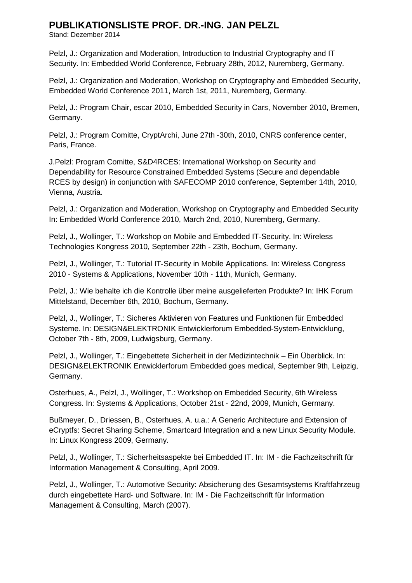Stand: Dezember 2014

Pelzl, J.: Organization and Moderation, Introduction to Industrial Cryptography and IT Security. In: Embedded World Conference, February 28th, 2012, Nuremberg, Germany.

Pelzl, J.: Organization and Moderation, Workshop on Cryptography and Embedded Security, Embedded World Conference 2011, March 1st, 2011, Nuremberg, Germany.

Pelzl, J.: Program Chair, escar 2010, Embedded Security in Cars, November 2010, Bremen, Germany.

Pelzl, J.: Program Comitte, CryptArchi, June 27th ‐30th, 2010, CNRS conference center, Paris, France.

J.Pelzl: Program Comitte, S&D4RCES: International Workshop on Security and Dependability for Resource Constrained Embedded Systems (Secure and dependable RCES by design) in conjunction with SAFECOMP 2010 conference, September 14th, 2010, Vienna, Austria.

Pelzl, J.: Organization and Moderation, Workshop on Cryptography and Embedded Security In: Embedded World Conference 2010, March 2nd, 2010, Nuremberg, Germany.

Pelzl, J., Wollinger, T.: Workshop on Mobile and Embedded IT‐Security. In: Wireless Technologies Kongress 2010, September 22th ‐ 23th, Bochum, Germany.

Pelzl, J., Wollinger, T.: Tutorial IT‐Security in Mobile Applications. In: Wireless Congress 2010 ‐ Systems & Applications, November 10th ‐ 11th, Munich, Germany.

Pelzl, J.: Wie behalte ich die Kontrolle über meine ausgelieferten Produkte? In: IHK Forum Mittelstand, December 6th, 2010, Bochum, Germany.

Pelzl, J., Wollinger, T.: Sicheres Aktivieren von Features und Funktionen für Embedded Systeme. In: DESIGN&ELEKTRONIK Entwicklerforum Embedded‐System‐Entwicklung, October 7th ‐ 8th, 2009, Ludwigsburg, Germany.

Pelzl, J., Wollinger, T.: Eingebettete Sicherheit in der Medizintechnik – Ein Überblick. In: DESIGN&ELEKTRONIK Entwicklerforum Embedded goes medical, September 9th, Leipzig, Germany.

Osterhues, A., Pelzl, J., Wollinger, T.: Workshop on Embedded Security, 6th Wireless Congress. In: Systems & Applications, October 21st ‐ 22nd, 2009, Munich, Germany.

Bußmeyer, D., Driessen, B., Osterhues, A. u.a.: A Generic Architecture and Extension of eCryptfs: Secret Sharing Scheme, Smartcard Integration and a new Linux Security Module. In: Linux Kongress 2009, Germany.

Pelzl, J., Wollinger, T.: Sicherheitsaspekte bei Embedded IT. In: IM ‐ die Fachzeitschrift für Information Management & Consulting, April 2009.

Pelzl, J., Wollinger, T.: Automotive Security: Absicherung des Gesamtsystems Kraftfahrzeug durch eingebettete Hard‐ und Software. In: IM ‐ Die Fachzeitschrift für Information Management & Consulting, March (2007).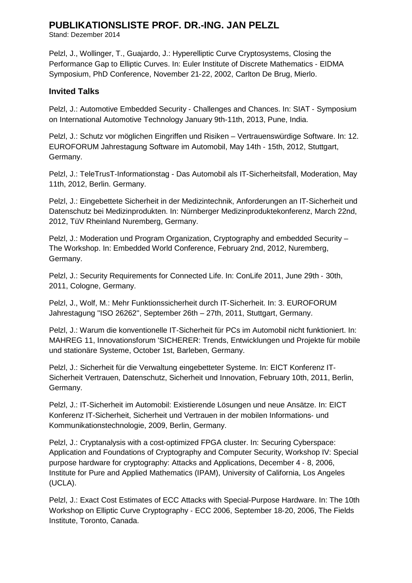Stand: Dezember 2014

Pelzl, J., Wollinger, T., Guajardo, J.: Hyperelliptic Curve Cryptosystems, Closing the Performance Gap to Elliptic Curves. In: Euler Institute of Discrete Mathematics ‐ EIDMA Symposium, PhD Conference, November 21‐22, 2002, Carlton De Brug, Mierlo.

### **Invited Talks**

Pelzl, J.: Automotive Embedded Security ‐ Challenges and Chances. In: SIAT ‐ Symposium on International Automotive Technology January 9th‐11th, 2013, Pune, India.

Pelzl, J.: Schutz vor möglichen Eingriffen und Risiken – Vertrauenswürdige Software. In: 12. EUROFORUM Jahrestagung Software im Automobil, May 14th ‐ 15th, 2012, Stuttgart, Germany.

Pelzl, J.: TeleTrusT‐Informationstag - Das Automobil als IT‐Sicherheitsfall, Moderation, May 11th, 2012, Berlin. Germany.

Pelzl, J.: Eingebettete Sicherheit in der Medizintechnik, Anforderungen an IT‐Sicherheit und Datenschutz bei Medizinprodukten. In: Nürnberger Medizinproduktekonferenz, March 22nd, 2012, TüV Rheinland Nuremberg, Germany.

Pelzl, J.: Moderation und Program Organization, Cryptography and embedded Security – The Workshop. In: Embedded World Conference, February 2nd, 2012, Nuremberg, Germany.

Pelzl, J.: Security Requirements for Connected Life. In: ConLife 2011, June 29th ‐ 30th, 2011, Cologne, Germany.

Pelzl, J., Wolf, M.: Mehr Funktionssicherheit durch IT‐Sicherheit. In: 3. EUROFORUM Jahrestagung ''ISO 26262'', September 26th – 27th, 2011, Stuttgart, Germany.

Pelzl, J.: Warum die konventionelle IT‐Sicherheit für PCs im Automobil nicht funktioniert. In: MAHREG 11, Innovationsforum 'SICHERER: Trends, Entwicklungen und Projekte für mobile und stationäre Systeme, October 1st, Barleben, Germany.

Pelzl, J.: Sicherheit für die Verwaltung eingebetteter Systeme. In: EICT Konferenz IT‐ Sicherheit Vertrauen, Datenschutz, Sicherheit und Innovation, February 10th, 2011, Berlin, Germany.

Pelzl, J.: IT‐Sicherheit im Automobil: Existierende Lösungen und neue Ansätze. In: EICT Konferenz IT-Sicherheit, Sicherheit und Vertrauen in der mobilen Informations‐ und Kommunikationstechnologie, 2009, Berlin, Germany.

Pelzl, J.: Cryptanalysis with a cost-optimized FPGA cluster. In: Securing Cyberspace: Application and Foundations of Cryptography and Computer Security, Workshop IV: Special purpose hardware for cryptography: Attacks and Applications, December 4 ‐ 8, 2006, Institute for Pure and Applied Mathematics (IPAM), University of California, Los Angeles (UCLA).

Pelzl, J.: Exact Cost Estimates of ECC Attacks with Special‐Purpose Hardware. In: The 10th Workshop on Elliptic Curve Cryptography ‐ ECC 2006, September 18‐20, 2006, The Fields Institute, Toronto, Canada.